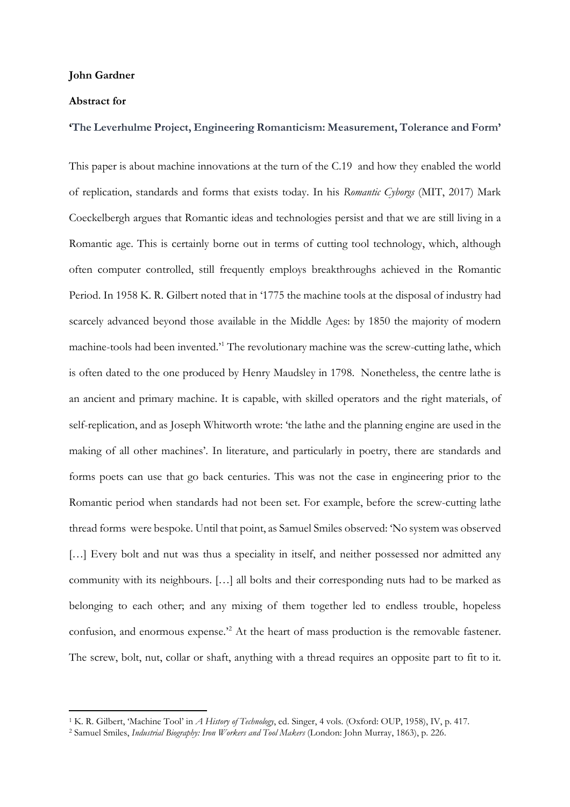## **John Gardner**

## **Abstract for**

## **'The Leverhulme Project, Engineering Romanticism: Measurement, Tolerance and Form'**

This paper is about machine innovations at the turn of the C.19 and how they enabled the world of replication, standards and forms that exists today. In his *Romantic Cyborgs* (MIT, 2017) Mark Coeckelbergh argues that Romantic ideas and technologies persist and that we are still living in a Romantic age. This is certainly borne out in terms of cutting tool technology, which, although often computer controlled, still frequently employs breakthroughs achieved in the Romantic Period. In 1958 K. R. Gilbert noted that in '1775 the machine tools at the disposal of industry had scarcely advanced beyond those available in the Middle Ages: by 1850 the majority of modern machine-tools had been invented.'[1](#page-0-0) The revolutionary machine was the screw-cutting lathe, which is often dated to the one produced by Henry Maudsley in 1798. Nonetheless, the centre lathe is an ancient and primary machine. It is capable, with skilled operators and the right materials, of self-replication, and as Joseph Whitworth wrote: 'the lathe and the planning engine are used in the making of all other machines'. In literature, and particularly in poetry, there are standards and forms poets can use that go back centuries. This was not the case in engineering prior to the Romantic period when standards had not been set. For example, before the screw-cutting lathe thread forms were bespoke. Until that point, as Samuel Smiles observed: 'No system was observed [...] Every bolt and nut was thus a speciality in itself, and neither possessed nor admitted any community with its neighbours. […] all bolts and their corresponding nuts had to be marked as belonging to each other; and any mixing of them together led to endless trouble, hopeless confusion, and enormous expense.'[2](#page-0-1) At the heart of mass production is the removable fastener. The screw, bolt, nut, collar or shaft, anything with a thread requires an opposite part to fit to it.

<span id="page-0-0"></span><sup>1</sup> K. R. Gilbert, 'Machine Tool' in *A History of Technology*, ed. Singer, 4 vols. (Oxford: OUP, 1958), IV, p. 417.

<span id="page-0-1"></span><sup>2</sup> Samuel Smiles, *Industrial Biography: Iron Workers and Tool Makers* (London: John Murray, 1863), p. 226.